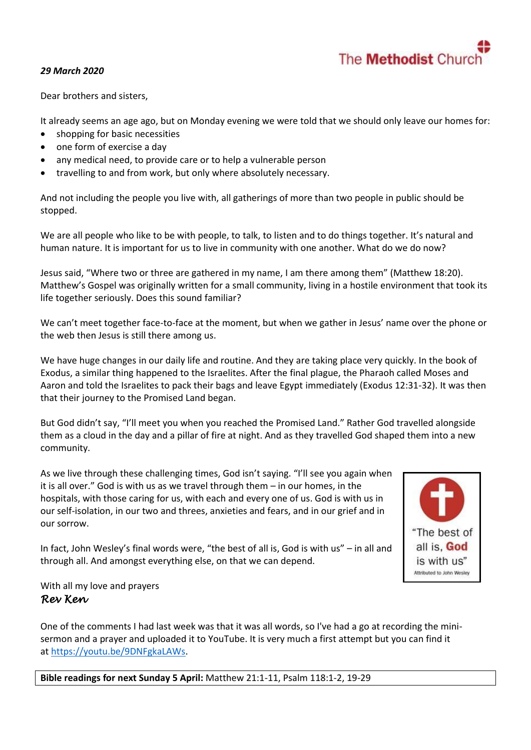

## *29 March 2020*

Dear brothers and sisters,

It already seems an age ago, but on Monday evening we were told that we should only leave our homes for:

- shopping for basic necessities
- one form of exercise a day
- any medical need, to provide care or to help a vulnerable person
- travelling to and from work, but only where absolutely necessary.

And not including the people you live with, all gatherings of more than two people in public should be stopped.

We are all people who like to be with people, to talk, to listen and to do things together. It's natural and human nature. It is important for us to live in community with one another. What do we do now?

Jesus said, "Where two or three are gathered in my name, I am there among them" (Matthew 18:20). Matthew's Gospel was originally written for a small community, living in a hostile environment that took its life together seriously. Does this sound familiar?

We can't meet together face-to-face at the moment, but when we gather in Jesus' name over the phone or the web then Jesus is still there among us.

We have huge changes in our daily life and routine. And they are taking place very quickly. In the book of Exodus, a similar thing happened to the Israelites. After the final plague, the Pharaoh called Moses and Aaron and told the Israelites to pack their bags and leave Egypt immediately (Exodus 12:31-32). It was then that their journey to the Promised Land began.

But God didn't say, "I'll meet you when you reached the Promised Land." Rather God travelled alongside them as a cloud in the day and a pillar of fire at night. And as they travelled God shaped them into a new community.

As we live through these challenging times, God isn't saying. "I'll see you again when it is all over." God is with us as we travel through them – in our homes, in the hospitals, with those caring for us, with each and every one of us. God is with us in our self-isolation, in our two and threes, anxieties and fears, and in our grief and in our sorrow.

In fact, John Wesley's final words were, "the best of all is, God is with us" – in all and through all. And amongst everything else, on that we can depend.



With all my love and prayers *Rev Ken* 

One of the comments I had last week was that it was all words, so I've had a go at recording the minisermon and a prayer and uploaded it to YouTube. It is very much a first attempt but you can find it at [https://youtu.be/9DNFgkaLAWs.](https://youtu.be/9DNFgkaLAWs)

**Bible readings for next Sunday 5 April:** Matthew 21:1-11, Psalm 118:1-2, 19-29